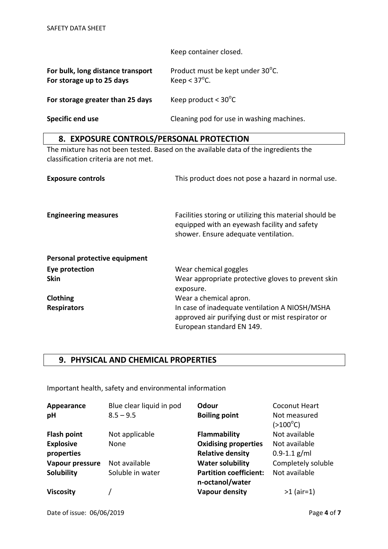|                                                                | Keep container closed.                                     |
|----------------------------------------------------------------|------------------------------------------------------------|
| For bulk, long distance transport<br>For storage up to 25 days | Product must be kept under 30°C.<br>Keep < $37^{\circ}$ C. |
| For storage greater than 25 days                               | Keep product $<$ 30 $^{\circ}$ C                           |
| Specific end use                                               | Cleaning pod for use in washing machines.                  |

# **8. EXPOSURE CONTROLS/PERSONAL PROTECTION**

The mixture has not been tested. Based on the available data of the ingredients the classification criteria are not met.

| <b>Exposure controls</b>      | This product does not pose a hazard in normal use.                                                                                              |
|-------------------------------|-------------------------------------------------------------------------------------------------------------------------------------------------|
| <b>Engineering measures</b>   | Facilities storing or utilizing this material should be<br>equipped with an eyewash facility and safety<br>shower. Ensure adequate ventilation. |
| Personal protective equipment |                                                                                                                                                 |
| Eye protection                | Wear chemical goggles                                                                                                                           |
| <b>Skin</b>                   | Wear appropriate protective gloves to prevent skin<br>exposure.                                                                                 |
| Clothing                      | Wear a chemical apron.                                                                                                                          |
| <b>Respirators</b>            | In case of inadequate ventilation A NIOSH/MSHA<br>approved air purifying dust or mist respirator or<br>European standard EN 149.                |

# **9. PHYSICAL AND CHEMICAL PROPERTIES**

Important health, safety and environmental information

| Appearance<br>pH   | Blue clear liquid in pod<br>$8.5 - 9.5$ | <b>Odour</b><br><b>Boiling point</b>             | Coconut Heart<br>Not measured<br>$(>100^{\circ}C)$ |
|--------------------|-----------------------------------------|--------------------------------------------------|----------------------------------------------------|
| <b>Flash point</b> | Not applicable                          | Flammability                                     | Not available                                      |
| <b>Explosive</b>   | None                                    | <b>Oxidising properties</b>                      | Not available                                      |
| properties         |                                         | <b>Relative density</b>                          | $0.9 - 1.1$ g/ml                                   |
| Vapour pressure    | Not available                           | <b>Water solubility</b>                          | Completely soluble                                 |
| Solubility         | Soluble in water                        | <b>Partition coefficient:</b><br>n-octanol/water | Not available                                      |
| <b>Viscosity</b>   |                                         | <b>Vapour density</b>                            | $>1$ (air=1)                                       |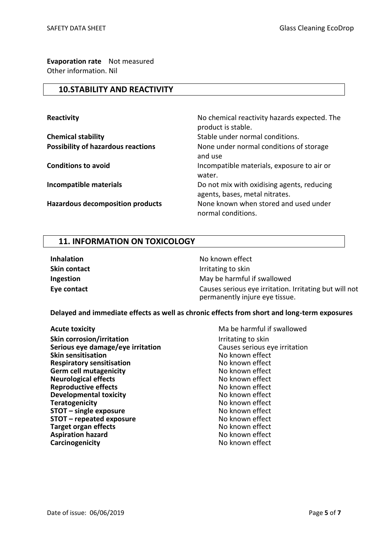**Evaporation rate** Not measured Other information. Nil

## **10.STABILITY AND REACTIVITY**

| Reactivity                                | No chemical reactivity hazards expected. The<br>product is stable.           |
|-------------------------------------------|------------------------------------------------------------------------------|
| <b>Chemical stability</b>                 | Stable under normal conditions.                                              |
| <b>Possibility of hazardous reactions</b> | None under normal conditions of storage<br>and use                           |
| <b>Conditions to avoid</b>                | Incompatible materials, exposure to air or<br>water.                         |
| <b>Incompatible materials</b>             | Do not mix with oxidising agents, reducing<br>agents, bases, metal nitrates. |
| <b>Hazardous decomposition products</b>   | None known when stored and used under<br>normal conditions.                  |

#### **11. INFORMATION ON TOXICOLOGY**

| <b>Inhalation</b> | No known effect                                                                          |
|-------------------|------------------------------------------------------------------------------------------|
| Skin contact      | Irritating to skin                                                                       |
| Ingestion         | May be harmful if swallowed                                                              |
| Eye contact       | Causes serious eye irritation. Irritating but will not<br>permanently injure eye tissue. |

#### **Delayed and immediate effects as well as chronic effects from short and long-term exposures**

**Skin corrosion/irritation**<br> **Serious eve damage/eve irritation**<br>
Causes serious eve irritation **Serious eye damage/eye irritation**<br> **Skin sensitisation**<br> **Skin sensitisation Skin sensitisation**<br> **Respiratory sensitisation**<br> **Respiratory sensitisation**<br> **No known effect Respiratory sensitisation**<br> **Germ cell mutagenicity**<br> **Germ cell mutagenicity**<br> **Germ cell mutagenicity Germ cell mutagenicity**<br> **No known effect Neurological effects**<br>
No known effect **Neurological effects**<br> **Reproductive effects**<br> **Reproductive effects**<br> **Reproductive effects Reproductive effects**<br> **Reproductive effects**<br> **Developmental toxicity**<br> **No known effect Developmental toxicity**<br> **Developmental toxicity**<br> **Developmental toxicity**<br> **No known effect Teratogenicity**<br> **STOT** – single exposure<br> **STOT** – single exposure<br> **No known effect STOT** – **single exposure COVID- STOT** – **single exposure NO STOT** – **repeated exposure NO NO NO RO NO NO RO NO RO NO RO NO RO NO RO NO RO NO RO NO RO NO RO NO RO STOT – repeated exposure** No known effect<br> **Farget organ effects**<br> **No known effect Target organ effects**<br> **Aspiration hazard**<br> **Aspiration hazard**<br> **Aspiration hazard Aspiration hazard**<br> **Carcinogenicity**<br> **Carcinogenicity**<br> **Carcinogenicity Carcinogenicity** 

**Acute toxicity** Ma be harmful if swallowed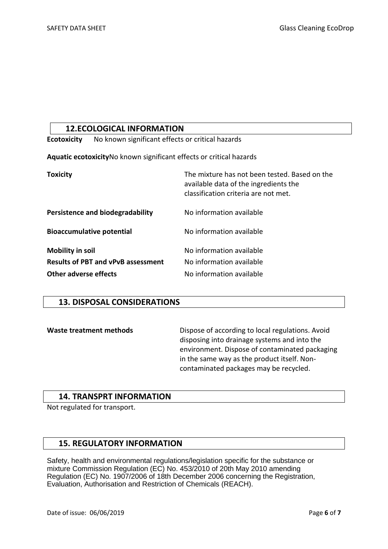## **12.ECOLOGICAL INFORMATION**

**Ecotoxicity** No known significant effects or critical hazards

**Aquatic ecotoxicity**No known significant effects or critical hazards

| <b>Toxicity</b>                           | The mixture has not been tested. Based on the<br>available data of the ingredients the<br>classification criteria are not met. |
|-------------------------------------------|--------------------------------------------------------------------------------------------------------------------------------|
| <b>Persistence and biodegradability</b>   | No information available                                                                                                       |
| <b>Bioaccumulative potential</b>          | No information available                                                                                                       |
| <b>Mobility in soil</b>                   | No information available                                                                                                       |
| <b>Results of PBT and vPvB assessment</b> | No information available                                                                                                       |
| <b>Other adverse effects</b>              | No information available                                                                                                       |

## **13. DISPOSAL CONSIDERATIONS**

**Waste treatment methods** Dispose of according to local regulations. Avoid disposing into drainage systems and into the environment. Dispose of contaminated packaging in the same way as the product itself. Noncontaminated packages may be recycled.

## **14. TRANSPRT INFORMATION**

Not regulated for transport.

## **15. REGULATORY INFORMATION**

Safety, health and environmental regulations/legislation specific for the substance or mixture Commission Regulation (EC) No. 453/2010 of 20th May 2010 amending Regulation (EC) No. 1907/2006 of 18th December 2006 concerning the Registration, Evaluation, Authorisation and Restriction of Chemicals (REACH).